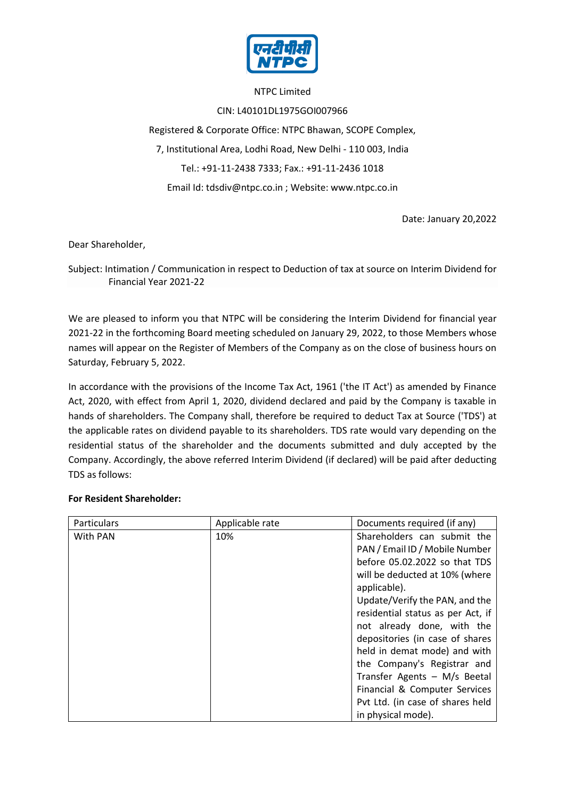

## NTPC Limited

CIN: L40101DL1975GOI007966

Registered & Corporate Office: NTPC Bhawan, SCOPE Complex, 7, Institutional Area, Lodhi Road, New Delhi - 110 003, India Tel.: +91-11-2438 7333; Fax.: +91-11-2436 1018 Email Id: tdsdiv@ntpc.co.in ; Website: www.ntpc.co.in

Date: January 20,2022

Dear Shareholder,

Subject: Intimation / Communication in respect to Deduction of tax at source on Interim Dividend for Financial Year 2021-22

We are pleased to inform you that NTPC will be considering the Interim Dividend for financial year 2021-22 in the forthcoming Board meeting scheduled on January 29, 2022, to those Members whose names will appear on the Register of Members of the Company as on the close of business hours on Saturday, February 5, 2022.

In accordance with the provisions of the Income Tax Act, 1961 ('the IT Act') as amended by Finance Act, 2020, with effect from April 1, 2020, dividend declared and paid by the Company is taxable in hands of shareholders. The Company shall, therefore be required to deduct Tax at Source ('TDS') at the applicable rates on dividend payable to its shareholders. TDS rate would vary depending on the residential status of the shareholder and the documents submitted and duly accepted by the Company. Accordingly, the above referred Interim Dividend (if declared) will be paid after deducting TDS as follows:

## **For Resident Shareholder:**

| Particulars | Applicable rate | Documents required (if any)       |  |  |  |
|-------------|-----------------|-----------------------------------|--|--|--|
| With PAN    | 10%             | Shareholders can submit the       |  |  |  |
|             |                 | PAN / Email ID / Mobile Number    |  |  |  |
|             |                 | before 05.02.2022 so that TDS     |  |  |  |
|             |                 | will be deducted at 10% (where    |  |  |  |
|             |                 | applicable).                      |  |  |  |
|             |                 | Update/Verify the PAN, and the    |  |  |  |
|             |                 | residential status as per Act, if |  |  |  |
|             |                 | not already done, with the        |  |  |  |
|             |                 | depositories (in case of shares   |  |  |  |
|             |                 | held in demat mode) and with      |  |  |  |
|             |                 | the Company's Registrar and       |  |  |  |
|             |                 | Transfer Agents - M/s Beetal      |  |  |  |
|             |                 | Financial & Computer Services     |  |  |  |
|             |                 | Pvt Ltd. (in case of shares held  |  |  |  |
|             |                 | in physical mode).                |  |  |  |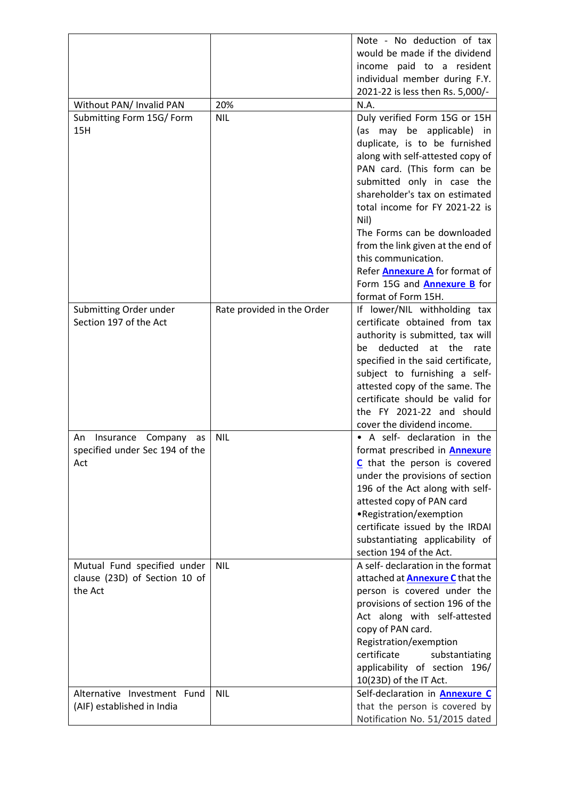|                                |                            | Note - No deduction of tax             |
|--------------------------------|----------------------------|----------------------------------------|
|                                |                            | would be made if the dividend          |
|                                |                            | income paid to a resident              |
|                                |                            | individual member during F.Y.          |
|                                |                            | 2021-22 is less then Rs. 5,000/-       |
| Without PAN/ Invalid PAN       | 20%                        | N.A.                                   |
| Submitting Form 15G/ Form      | <b>NIL</b>                 | Duly verified Form 15G or 15H          |
| 15H                            |                            | (as may be applicable) in              |
|                                |                            | duplicate, is to be furnished          |
|                                |                            | along with self-attested copy of       |
|                                |                            | PAN card. (This form can be            |
|                                |                            | submitted only in case the             |
|                                |                            | shareholder's tax on estimated         |
|                                |                            | total income for FY 2021-22 is         |
|                                |                            | Nil)                                   |
|                                |                            | The Forms can be downloaded            |
|                                |                            | from the link given at the end of      |
|                                |                            | this communication.                    |
|                                |                            | Refer <b>Annexure A</b> for format of  |
|                                |                            | Form 15G and <b>Annexure B</b> for     |
|                                |                            | format of Form 15H.                    |
| Submitting Order under         | Rate provided in the Order | If lower/NIL withholding tax           |
| Section 197 of the Act         |                            | certificate obtained from tax          |
|                                |                            | authority is submitted, tax will       |
|                                |                            | deducted<br>at the<br>be<br>rate       |
|                                |                            | specified in the said certificate,     |
|                                |                            | subject to furnishing a self-          |
|                                |                            | attested copy of the same. The         |
|                                |                            | certificate should be valid for        |
|                                |                            | the FY 2021-22 and should              |
|                                |                            | cover the dividend income.             |
|                                |                            | • A self- declaration in the           |
| Insurance Company<br>An<br>as  | <b>NIL</b>                 |                                        |
| specified under Sec 194 of the |                            | format prescribed in <b>Annexure</b>   |
| Act                            |                            | C that the person is covered           |
|                                |                            | under the provisions of section        |
|                                |                            | 196 of the Act along with self-        |
|                                |                            | attested copy of PAN card              |
|                                |                            | •Registration/exemption                |
|                                |                            | certificate issued by the IRDAI        |
|                                |                            | substantiating applicability of        |
|                                |                            | section 194 of the Act.                |
| Mutual Fund specified under    | <b>NIL</b>                 | A self- declaration in the format      |
| clause (23D) of Section 10 of  |                            | attached at <b>Annexure C</b> that the |
| the Act                        |                            | person is covered under the            |
|                                |                            | provisions of section 196 of the       |
|                                |                            | Act along with self-attested           |
|                                |                            | copy of PAN card.                      |
|                                |                            | Registration/exemption                 |
|                                |                            | certificate<br>substantiating          |
|                                |                            | applicability of section 196/          |
|                                |                            | 10(23D) of the IT Act.                 |
| Alternative Investment Fund    | <b>NIL</b>                 | Self-declaration in <b>Annexure C</b>  |
| (AIF) established in India     |                            | that the person is covered by          |
|                                |                            | Notification No. 51/2015 dated         |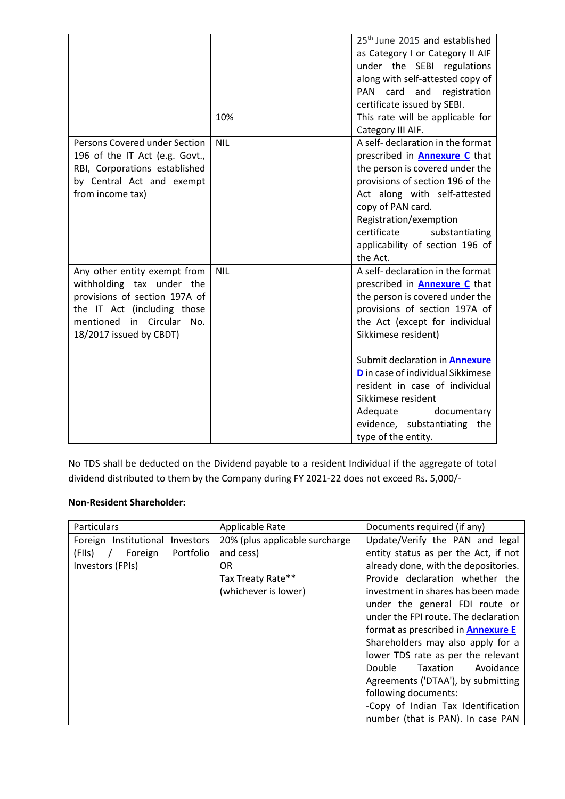|                                                                                                                                                                                   |            | 25 <sup>th</sup> June 2015 and established<br>as Category I or Category II AIF<br>under the SEBI regulations<br>along with self-attested copy of<br>PAN card<br>and registration<br>certificate issued by SEBI.                                                                                                                                                                                                                       |
|-----------------------------------------------------------------------------------------------------------------------------------------------------------------------------------|------------|---------------------------------------------------------------------------------------------------------------------------------------------------------------------------------------------------------------------------------------------------------------------------------------------------------------------------------------------------------------------------------------------------------------------------------------|
|                                                                                                                                                                                   | 10%        | This rate will be applicable for<br>Category III AIF.                                                                                                                                                                                                                                                                                                                                                                                 |
| Persons Covered under Section<br>196 of the IT Act (e.g. Govt.,<br>RBI, Corporations established<br>by Central Act and exempt<br>from income tax)                                 | <b>NIL</b> | A self- declaration in the format<br>prescribed in <b>Annexure C</b> that<br>the person is covered under the<br>provisions of section 196 of the<br>Act along with self-attested<br>copy of PAN card.<br>Registration/exemption<br>certificate<br>substantiating<br>applicability of section 196 of<br>the Act.                                                                                                                       |
| Any other entity exempt from<br>withholding tax under the<br>provisions of section 197A of<br>the IT Act (including those<br>mentioned in Circular No.<br>18/2017 issued by CBDT) | <b>NIL</b> | A self- declaration in the format<br>prescribed in <b>Annexure C</b> that<br>the person is covered under the<br>provisions of section 197A of<br>the Act (except for individual<br>Sikkimese resident)<br>Submit declaration in <b>Annexure</b><br><b>D</b> in case of individual Sikkimese<br>resident in case of individual<br>Sikkimese resident<br>Adequate<br>documentary<br>evidence, substantiating the<br>type of the entity. |

No TDS shall be deducted on the Dividend payable to a resident Individual if the aggregate of total dividend distributed to them by the Company during FY 2021-22 does not exceed Rs. 5,000/-

## **Non-Resident Shareholder:**

| Particulars                               | Applicable Rate                | Documents required (if any)               |  |  |  |
|-------------------------------------------|--------------------------------|-------------------------------------------|--|--|--|
| Foreign Institutional<br><b>Investors</b> | 20% (plus applicable surcharge | Update/Verify the PAN and legal           |  |  |  |
| Portfolio<br>(FIIs)<br>Foreign            | and cess)                      | entity status as per the Act, if not      |  |  |  |
| Investors (FPIs)                          | OR.                            | already done, with the depositories.      |  |  |  |
|                                           | Tax Treaty Rate**              | Provide declaration whether the           |  |  |  |
|                                           | (whichever is lower)           | investment in shares has been made        |  |  |  |
|                                           |                                | under the general FDI route or            |  |  |  |
|                                           |                                | under the FPI route. The declaration      |  |  |  |
|                                           |                                | format as prescribed in <b>Annexure E</b> |  |  |  |
|                                           |                                | Shareholders may also apply for a         |  |  |  |
|                                           |                                | lower TDS rate as per the relevant        |  |  |  |
|                                           |                                | Double<br>Avoidance<br>Taxation           |  |  |  |
|                                           |                                | Agreements ('DTAA'), by submitting        |  |  |  |
|                                           |                                | following documents:                      |  |  |  |
|                                           |                                | -Copy of Indian Tax Identification        |  |  |  |
|                                           |                                | number (that is PAN). In case PAN         |  |  |  |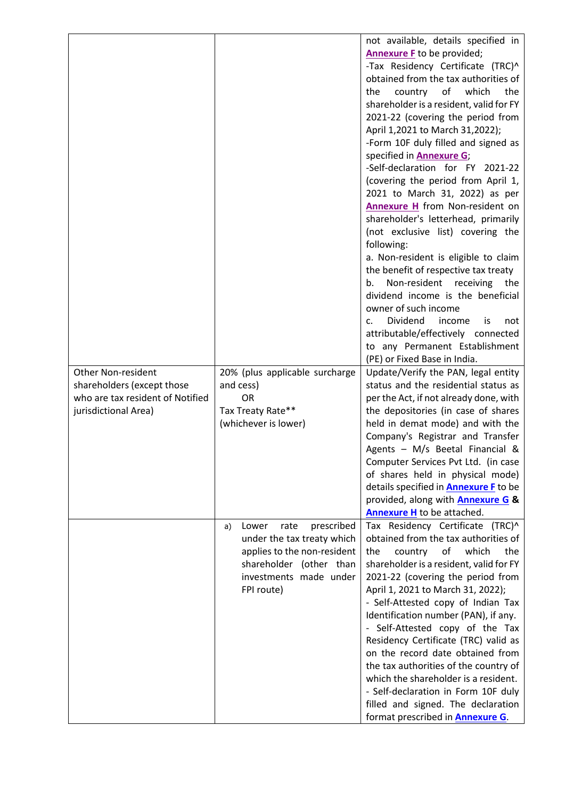|                                  |                                   | not available, details specified in<br><b>Annexure F</b> to be provided;<br>-Tax Residency Certificate (TRC)^<br>obtained from the tax authorities of<br>оf<br>which<br>the<br>country<br>the<br>shareholder is a resident, valid for FY<br>2021-22 (covering the period from<br>April 1,2021 to March 31,2022);<br>-Form 10F duly filled and signed as<br>specified in <b>Annexure G</b> ;<br>-Self-declaration for FY 2021-22<br>(covering the period from April 1,<br>2021 to March 31, 2022) as per<br>Annexure H from Non-resident on<br>shareholder's letterhead, primarily<br>(not exclusive list) covering the<br>following:<br>a. Non-resident is eligible to claim<br>the benefit of respective tax treaty |
|----------------------------------|-----------------------------------|----------------------------------------------------------------------------------------------------------------------------------------------------------------------------------------------------------------------------------------------------------------------------------------------------------------------------------------------------------------------------------------------------------------------------------------------------------------------------------------------------------------------------------------------------------------------------------------------------------------------------------------------------------------------------------------------------------------------|
|                                  |                                   | Non-resident receiving the<br>b.<br>dividend income is the beneficial<br>owner of such income<br>Dividend<br>income<br>is<br>$\mathsf{C}$ .<br>not<br>attributable/effectively connected                                                                                                                                                                                                                                                                                                                                                                                                                                                                                                                             |
|                                  |                                   | to any Permanent Establishment<br>(PE) or Fixed Base in India.                                                                                                                                                                                                                                                                                                                                                                                                                                                                                                                                                                                                                                                       |
| <b>Other Non-resident</b>        | 20% (plus applicable surcharge    | Update/Verify the PAN, legal entity                                                                                                                                                                                                                                                                                                                                                                                                                                                                                                                                                                                                                                                                                  |
| shareholders (except those       | and cess)                         | status and the residential status as                                                                                                                                                                                                                                                                                                                                                                                                                                                                                                                                                                                                                                                                                 |
| who are tax resident of Notified | <b>OR</b>                         | per the Act, if not already done, with                                                                                                                                                                                                                                                                                                                                                                                                                                                                                                                                                                                                                                                                               |
| jurisdictional Area)             | Tax Treaty Rate**                 | the depositories (in case of shares                                                                                                                                                                                                                                                                                                                                                                                                                                                                                                                                                                                                                                                                                  |
|                                  | (whichever is lower)              | held in demat mode) and with the                                                                                                                                                                                                                                                                                                                                                                                                                                                                                                                                                                                                                                                                                     |
|                                  |                                   | Company's Registrar and Transfer                                                                                                                                                                                                                                                                                                                                                                                                                                                                                                                                                                                                                                                                                     |
|                                  |                                   | Agents - M/s Beetal Financial &                                                                                                                                                                                                                                                                                                                                                                                                                                                                                                                                                                                                                                                                                      |
|                                  |                                   | Computer Services Pvt Ltd. (in case                                                                                                                                                                                                                                                                                                                                                                                                                                                                                                                                                                                                                                                                                  |
|                                  |                                   | of shares held in physical mode)                                                                                                                                                                                                                                                                                                                                                                                                                                                                                                                                                                                                                                                                                     |
|                                  |                                   | details specified in <b>Annexure F</b> to be                                                                                                                                                                                                                                                                                                                                                                                                                                                                                                                                                                                                                                                                         |
|                                  |                                   | provided, along with <b>Annexure G &amp;</b>                                                                                                                                                                                                                                                                                                                                                                                                                                                                                                                                                                                                                                                                         |
|                                  |                                   | <b>Annexure H</b> to be attached.                                                                                                                                                                                                                                                                                                                                                                                                                                                                                                                                                                                                                                                                                    |
|                                  | prescribed<br>Lower<br>rate<br>a) | Tax Residency Certificate (TRC)^                                                                                                                                                                                                                                                                                                                                                                                                                                                                                                                                                                                                                                                                                     |
|                                  | under the tax treaty which        | obtained from the tax authorities of                                                                                                                                                                                                                                                                                                                                                                                                                                                                                                                                                                                                                                                                                 |
|                                  | applies to the non-resident       | which<br>the<br>country<br>of<br>the                                                                                                                                                                                                                                                                                                                                                                                                                                                                                                                                                                                                                                                                                 |
|                                  | shareholder (other than           | shareholder is a resident, valid for FY                                                                                                                                                                                                                                                                                                                                                                                                                                                                                                                                                                                                                                                                              |
|                                  | investments made under            | 2021-22 (covering the period from                                                                                                                                                                                                                                                                                                                                                                                                                                                                                                                                                                                                                                                                                    |
|                                  | FPI route)                        | April 1, 2021 to March 31, 2022);                                                                                                                                                                                                                                                                                                                                                                                                                                                                                                                                                                                                                                                                                    |
|                                  |                                   | - Self-Attested copy of Indian Tax                                                                                                                                                                                                                                                                                                                                                                                                                                                                                                                                                                                                                                                                                   |
|                                  |                                   | Identification number (PAN), if any.                                                                                                                                                                                                                                                                                                                                                                                                                                                                                                                                                                                                                                                                                 |
|                                  |                                   | - Self-Attested copy of the Tax                                                                                                                                                                                                                                                                                                                                                                                                                                                                                                                                                                                                                                                                                      |
|                                  |                                   | Residency Certificate (TRC) valid as                                                                                                                                                                                                                                                                                                                                                                                                                                                                                                                                                                                                                                                                                 |
|                                  |                                   | on the record date obtained from                                                                                                                                                                                                                                                                                                                                                                                                                                                                                                                                                                                                                                                                                     |
|                                  |                                   | the tax authorities of the country of                                                                                                                                                                                                                                                                                                                                                                                                                                                                                                                                                                                                                                                                                |
|                                  |                                   | which the shareholder is a resident.                                                                                                                                                                                                                                                                                                                                                                                                                                                                                                                                                                                                                                                                                 |
|                                  |                                   | - Self-declaration in Form 10F duly                                                                                                                                                                                                                                                                                                                                                                                                                                                                                                                                                                                                                                                                                  |
|                                  |                                   | filled and signed. The declaration                                                                                                                                                                                                                                                                                                                                                                                                                                                                                                                                                                                                                                                                                   |
|                                  |                                   | format prescribed in <b>Annexure G</b> .                                                                                                                                                                                                                                                                                                                                                                                                                                                                                                                                                                                                                                                                             |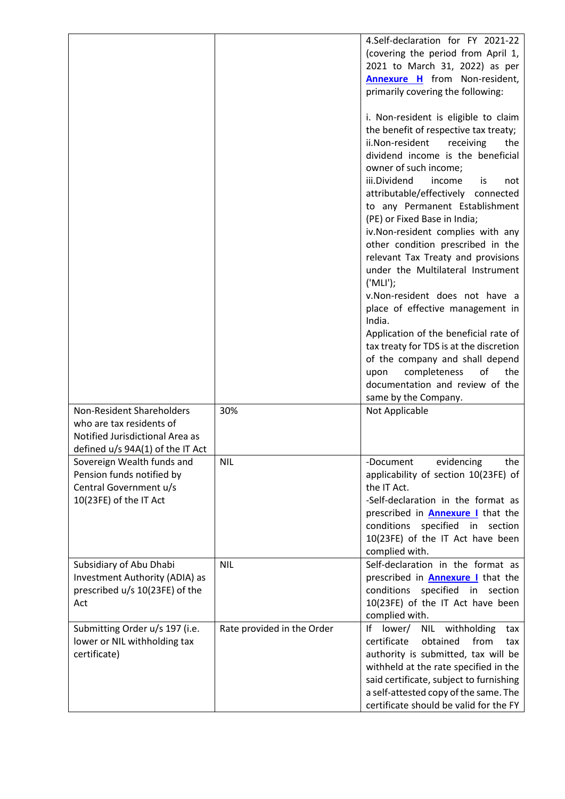|                                  |                            | 4.Self-declaration for FY 2021-22                                                |
|----------------------------------|----------------------------|----------------------------------------------------------------------------------|
|                                  |                            | (covering the period from April 1,                                               |
|                                  |                            | 2021 to March 31, 2022) as per                                                   |
|                                  |                            | <b>Annexure H</b> from Non-resident,                                             |
|                                  |                            | primarily covering the following:                                                |
|                                  |                            |                                                                                  |
|                                  |                            | i. Non-resident is eligible to claim                                             |
|                                  |                            | the benefit of respective tax treaty;                                            |
|                                  |                            | ii.Non-resident<br>receiving<br>the                                              |
|                                  |                            | dividend income is the beneficial                                                |
|                                  |                            | owner of such income;                                                            |
|                                  |                            | iii.Dividend<br>income<br>is<br>not                                              |
|                                  |                            | attributable/effectively connected                                               |
|                                  |                            | to any Permanent Establishment                                                   |
|                                  |                            | (PE) or Fixed Base in India;                                                     |
|                                  |                            | iv.Non-resident complies with any                                                |
|                                  |                            | other condition prescribed in the                                                |
|                                  |                            | relevant Tax Treaty and provisions                                               |
|                                  |                            | under the Multilateral Instrument                                                |
|                                  |                            | ('MLI');                                                                         |
|                                  |                            | v.Non-resident does not have a                                                   |
|                                  |                            | place of effective management in<br>India.                                       |
|                                  |                            |                                                                                  |
|                                  |                            | Application of the beneficial rate of<br>tax treaty for TDS is at the discretion |
|                                  |                            | of the company and shall depend                                                  |
|                                  |                            | completeness<br>upon<br>οf<br>the                                                |
|                                  |                            | documentation and review of the                                                  |
|                                  |                            | same by the Company.                                                             |
| <b>Non-Resident Shareholders</b> | 30%                        | Not Applicable                                                                   |
| who are tax residents of         |                            |                                                                                  |
| Notified Jurisdictional Area as  |                            |                                                                                  |
| defined u/s 94A(1) of the IT Act |                            |                                                                                  |
| Sovereign Wealth funds and       | <b>NIL</b>                 | evidencing<br>-Document<br>the                                                   |
| Pension funds notified by        |                            | applicability of section 10(23FE) of                                             |
| Central Government u/s           |                            | the IT Act.                                                                      |
| 10(23FE) of the IT Act           |                            | -Self-declaration in the format as                                               |
|                                  |                            | prescribed in <b>Annexure I</b> that the                                         |
|                                  |                            | conditions<br>specified<br>section<br>in                                         |
|                                  |                            | 10(23FE) of the IT Act have been                                                 |
|                                  |                            | complied with.                                                                   |
| Subsidiary of Abu Dhabi          | <b>NIL</b>                 | Self-declaration in the format as                                                |
| Investment Authority (ADIA) as   |                            | prescribed in <b>Annexure I</b> that the                                         |
| prescribed u/s 10(23FE) of the   |                            | specified<br>conditions<br>in<br>section                                         |
| Act                              |                            | 10(23FE) of the IT Act have been                                                 |
|                                  |                            | complied with.                                                                   |
| Submitting Order u/s 197 (i.e.   | Rate provided in the Order | lower/<br>withholding<br><b>NIL</b><br>١f<br>tax                                 |
| lower or NIL withholding tax     |                            | certificate<br>obtained<br>from<br>tax                                           |
| certificate)                     |                            | authority is submitted, tax will be                                              |
|                                  |                            | withheld at the rate specified in the                                            |
|                                  |                            | said certificate, subject to furnishing                                          |
|                                  |                            | a self-attested copy of the same. The                                            |
|                                  |                            | certificate should be valid for the FY                                           |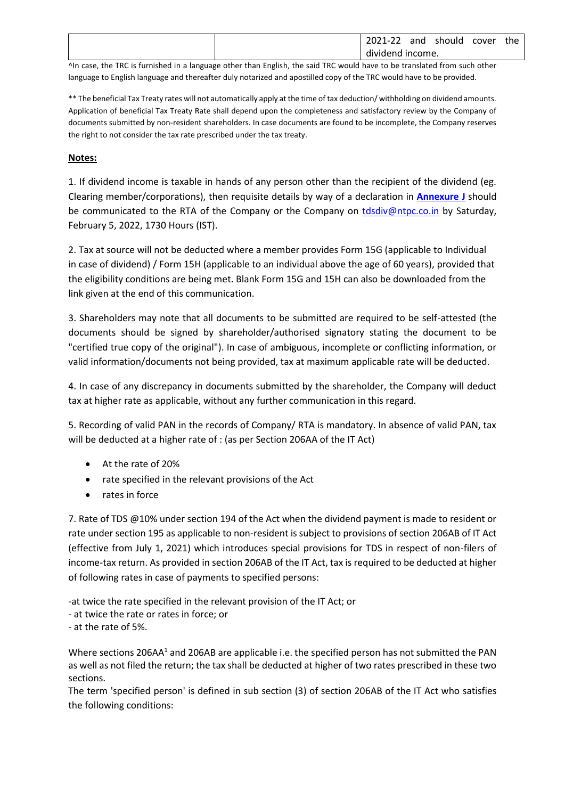| 2021-22<br>the<br>should<br>and<br>cover<br>dividend income. | ,一个人都是一个人,一个人都是一个人,一个人都是一个人,一个人都是一个人,一个人都是一个人,一个人都是一个人,一个人都是一个人,一个人都是一个人,一个人,一个人<br>the contract of the contract of the | the contract of the contract of<br>the contract of the contract of |  |  | _____ | the contract of the contract of the contract of the contract of the contract of |  |  |
|--------------------------------------------------------------|-------------------------------------------------------------------------------------------------------------------------|--------------------------------------------------------------------|--|--|-------|---------------------------------------------------------------------------------|--|--|
|                                                              |                                                                                                                         |                                                                    |  |  |       |                                                                                 |  |  |
|                                                              |                                                                                                                         |                                                                    |  |  |       |                                                                                 |  |  |

^In case, the TRC is furnished in a language other than English, the said TRC would have to be translated from such other language to English language and thereafter duly notarized and apostilled copy of the TRC would have to be provided.

\*\* The beneficial Tax Treaty rates will not automatically apply at the time of tax deduction/ withholding on dividend amounts. Application of beneficial Tax Treaty Rate shall depend upon the completeness and satisfactory review by the Company of documents submitted by non-resident shareholders. In case documents are found to be incomplete, the Company reserves the right to not consider the tax rate prescribed under the tax treaty.

## **Notes:**

1. If dividend income is taxable in hands of any person other than the recipient of the dividend (eg. Clearing member/corporations), then requisite details by way of a declaration in **[Annexure](https://www.ntpc.co.in/sites/default/files/downloads/Annexure-J-TDS-Declaration-Format-under-Rule-37BA.pdf) J** should be communicated to the RTA of the Company or the Company on [tdsdiv@ntpc.co.in](mailto:tdsdiv@ntpc.co.in) by Saturday, February 5, 2022, 1730 Hours (IST).

2. Tax at source will not be deducted where a member provides Form 15G (applicable to Individual in case of dividend) / Form 15H (applicable to an individual above the age of 60 years), provided that the eligibility conditions are being met. Blank Form 15G and 15H can also be downloaded from the link given at the end of this communication.

3. Shareholders may note that all documents to be submitted are required to be self-attested (the documents should be signed by shareholder/authorised signatory stating the document to be "certified true copy of the original"). In case of ambiguous, incomplete or conflicting information, or valid information/documents not being provided, tax at maximum applicable rate will be deducted.

4. In case of any discrepancy in documents submitted by the shareholder, the Company will deduct tax at higher rate as applicable, without any further communication in this regard.

5. Recording of valid PAN in the records of Company/ RTA is mandatory. In absence of valid PAN, tax will be deducted at a higher rate of : (as per Section 206AA of the IT Act)

- At the rate of 20%
- rate specified in the relevant provisions of the Act
- rates in force

7. Rate of TDS @10% under section 194 of the Act when the dividend payment is made to resident or rate under section 195 as applicable to non-resident is subject to provisions of section 206AB of IT Act (effective from July 1, 2021) which introduces special provisions for TDS in respect of non-filers of income-tax return. As provided in section 206AB of the IT Act, tax is required to be deducted at higher of following rates in case of payments to specified persons:

-at twice the rate specified in the relevant provision of the IT Act; or

- at twice the rate or rates in force; or
- at the rate of 5%.

Where sections 206AA<sup>1</sup> and 206AB are applicable i.e. the specified person has not submitted the PAN as well as not filed the return; the tax shall be deducted at higher of two rates prescribed in these two sections.

The term 'specified person' is defined in sub section (3) of section 206AB of the IT Act who satisfies the following conditions: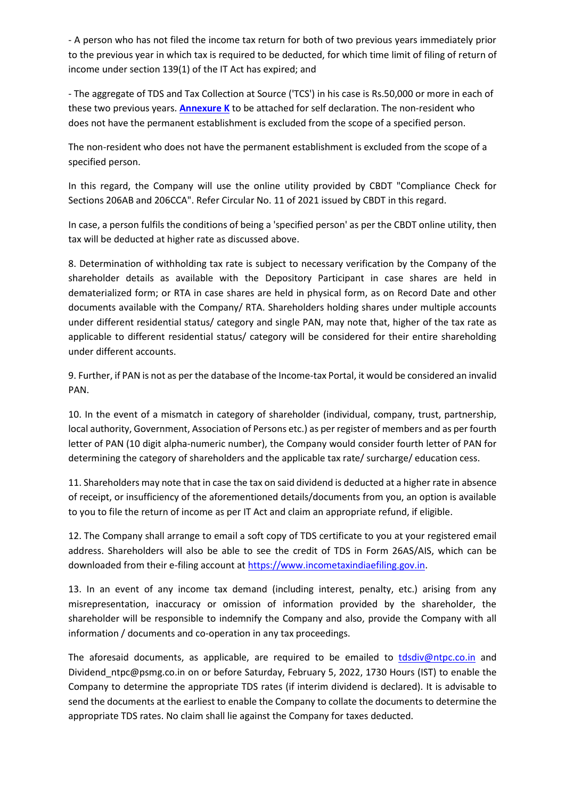- A person who has not filed the income tax return for both of two previous years immediately prior to the previous year in which tax is required to be deducted, for which time limit of filing of return of income under section 139(1) of the IT Act has expired; and

- The aggregate of TDS and Tax Collection at Source ('TCS') in his case is Rs.50,000 or more in each of these two previous years. **[Annexure K](https://www.ntpc.co.in/sites/default/files/downloads/Annexure-K.pdf)** to be attached for self declaration. The non-resident who does not have the permanent establishment is excluded from the scope of a specified person.

The non-resident who does not have the permanent establishment is excluded from the scope of a specified person.

In this regard, the Company will use the online utility provided by CBDT "Compliance Check for Sections 206AB and 206CCA". Refer Circular No. 11 of 2021 issued by CBDT in this regard.

In case, a person fulfils the conditions of being a 'specified person' as per the CBDT online utility, then tax will be deducted at higher rate as discussed above.

8. Determination of withholding tax rate is subject to necessary verification by the Company of the shareholder details as available with the Depository Participant in case shares are held in dematerialized form; or RTA in case shares are held in physical form, as on Record Date and other documents available with the Company/ RTA. Shareholders holding shares under multiple accounts under different residential status/ category and single PAN, may note that, higher of the tax rate as applicable to different residential status/ category will be considered for their entire shareholding under different accounts.

9. Further, if PAN is not as per the database of the Income-tax Portal, it would be considered an invalid PAN.

10. In the event of a mismatch in category of shareholder (individual, company, trust, partnership, local authority, Government, Association of Persons etc.) as per register of members and as per fourth letter of PAN (10 digit alpha-numeric number), the Company would consider fourth letter of PAN for determining the category of shareholders and the applicable tax rate/ surcharge/ education cess.

11. Shareholders may note that in case the tax on said dividend is deducted at a higher rate in absence of receipt, or insufficiency of the aforementioned details/documents from you, an option is available to you to file the return of income as per IT Act and claim an appropriate refund, if eligible.

12. The Company shall arrange to email a soft copy of TDS certificate to you at your registered email address. Shareholders will also be able to see the credit of TDS in Form 26AS/AIS, which can be downloaded from their e-filing account at [https://www.incometaxindiaefiling.gov.in.](https://www.incometaxindiaefiling.gov.in/)

13. In an event of any income tax demand (including interest, penalty, etc.) arising from any misrepresentation, inaccuracy or omission of information provided by the shareholder, the shareholder will be responsible to indemnify the Company and also, provide the Company with all information / documents and co-operation in any tax proceedings.

The aforesaid documents, as applicable, are required to be emailed to [tdsdiv@ntpc.co.in](mailto:tdsdiv@ntpc.co.in) and Dividend\_ntpc@psmg.co.in on or before Saturday, February 5, 2022, 1730 Hours (IST) to enable the Company to determine the appropriate TDS rates (if interim dividend is declared). It is advisable to send the documents at the earliest to enable the Company to collate the documents to determine the appropriate TDS rates. No claim shall lie against the Company for taxes deducted.